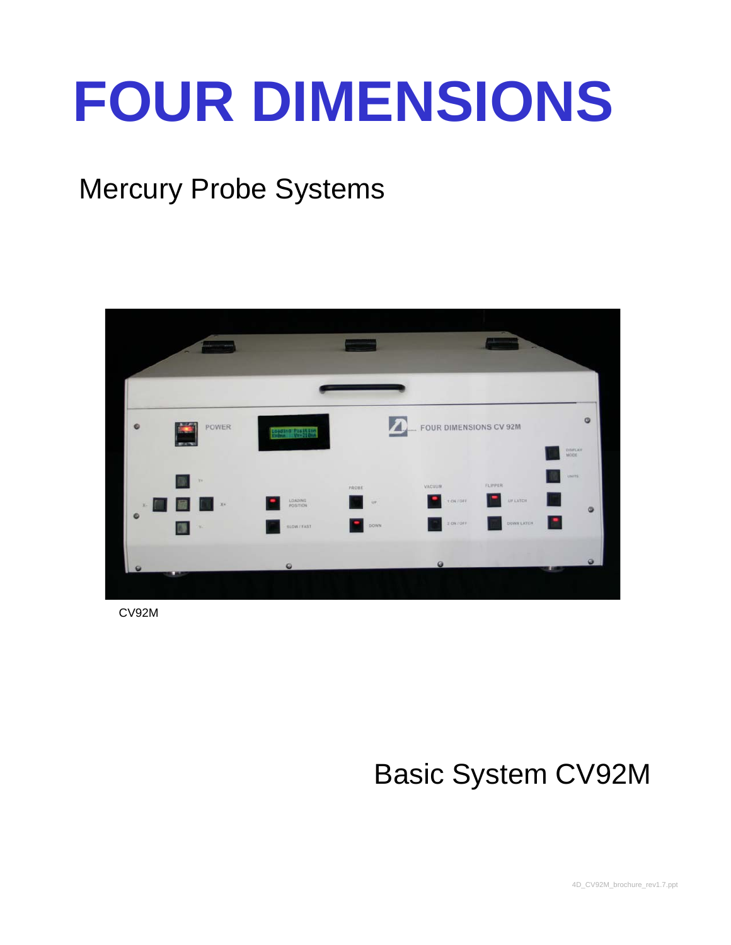# **FOUR DIMENSIONS**

### Mercury Probe Systems



CV92M

## Basic System CV92M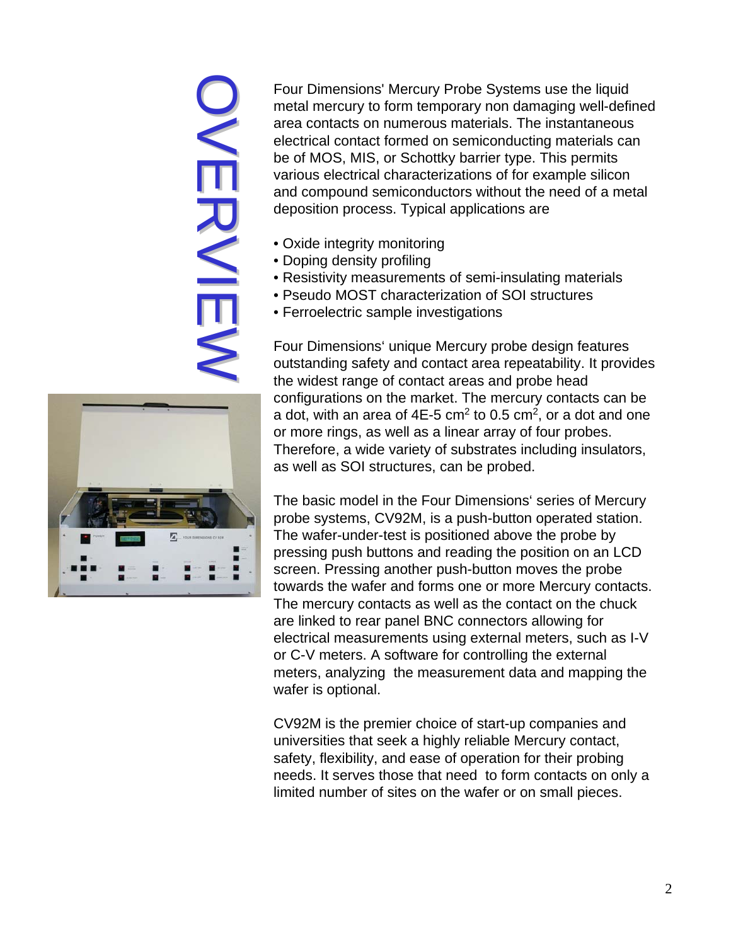# OVERVIEW しく同じ入門



Four Dimensions' Mercury Probe Systems use the liquid metal mercury to form temporary non damaging well-defined area contacts on numerous materials. The instantaneous electrical contact formed on semiconducting materials can be of MOS, MIS, or Schottky barrier type. This permits various electrical characterizations of for example silicon and compound semiconductors without the need of a metal deposition process. Typical applications are

- Oxide integrity monitoring
- Doping density profiling
- Resistivity measurements of semi-insulating materials
- Pseudo MOST characterization of SOI structures
- Ferroelectric sample investigations

Four Dimensions' unique Mercury probe design features outstanding safety and contact area repeatability. It provides the widest range of contact areas and probe head configurations on the market. The mercury contacts can be a dot, with an area of  $4E-5$  cm<sup>2</sup> to 0.5 cm<sup>2</sup>, or a dot and one or more rings, as well as a linear array of four probes. Therefore, a wide variety of substrates including insulators, as well as SOI structures, can be probed.

The basic model in the Four Dimensions' series of Mercury probe systems, CV92M, is a push-button operated station. The wafer-under-test is positioned above the probe by pressing push buttons and reading the position on an LCD screen. Pressing another push-button moves the probe towards the wafer and forms one or more Mercury contacts. The mercury contacts as well as the contact on the chuck are linked to rear panel BNC connectors allowing for electrical measurements using external meters, such as I-V or C-V meters. A software for controlling the external meters, analyzing the measurement data and mapping the wafer is optional.

CV92M is the premier choice of start-up companies and universities that seek a highly reliable Mercury contact, safety, flexibility, and ease of operation for their probing needs. It serves those that need to form contacts on only a limited number of sites on the wafer or on small pieces.